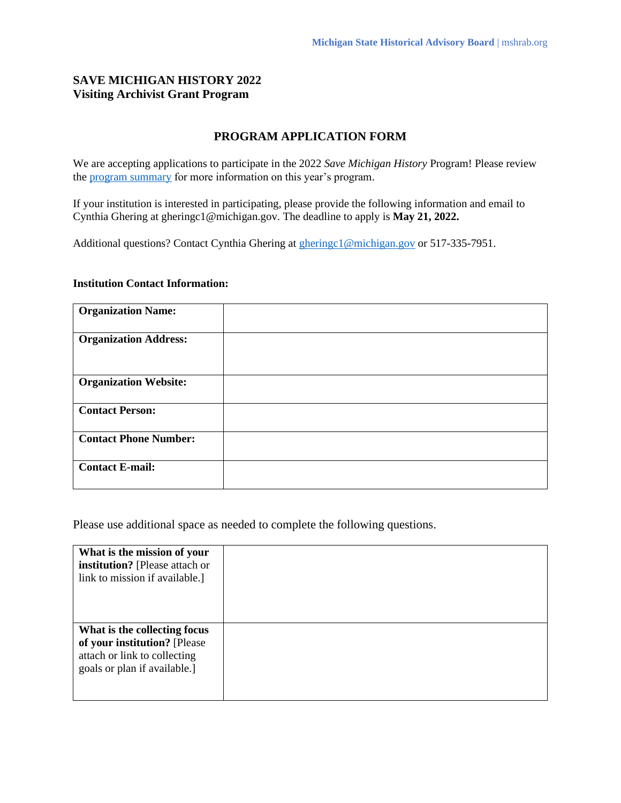## **SAVE MICHIGAN HISTORY 2022 Visiting Archivist Grant Program**

## **PROGRAM APPLICATION FORM**

We are accepting applications to participate in the 2022 *Save Michigan History* Program! Please review the [program summary](https://mshrab.org/wp-content/uploads/2022/04/MSHRAB_SMH_Summary_2022.pdf) for more information on this year's program.

If your institution is interested in participating, please provide the following information and email to Cynthia Ghering at gheringc1@michigan.gov. The deadline to apply is **May 21, 2022.**

Additional questions? Contact Cynthia Ghering at [gheringc1@michigan.gov](mailto:gheringc1@michigan.gov) or 517-335-7951.

## **Institution Contact Information:**

| <b>Organization Name:</b>    |  |
|------------------------------|--|
| <b>Organization Address:</b> |  |
| <b>Organization Website:</b> |  |
| <b>Contact Person:</b>       |  |
| <b>Contact Phone Number:</b> |  |
| <b>Contact E-mail:</b>       |  |

Please use additional space as needed to complete the following questions.

| What is the mission of your<br>institution? [Please attach or<br>link to mission if available.]                              |  |
|------------------------------------------------------------------------------------------------------------------------------|--|
| What is the collecting focus<br>of your institution? [Please]<br>attach or link to collecting<br>goals or plan if available. |  |